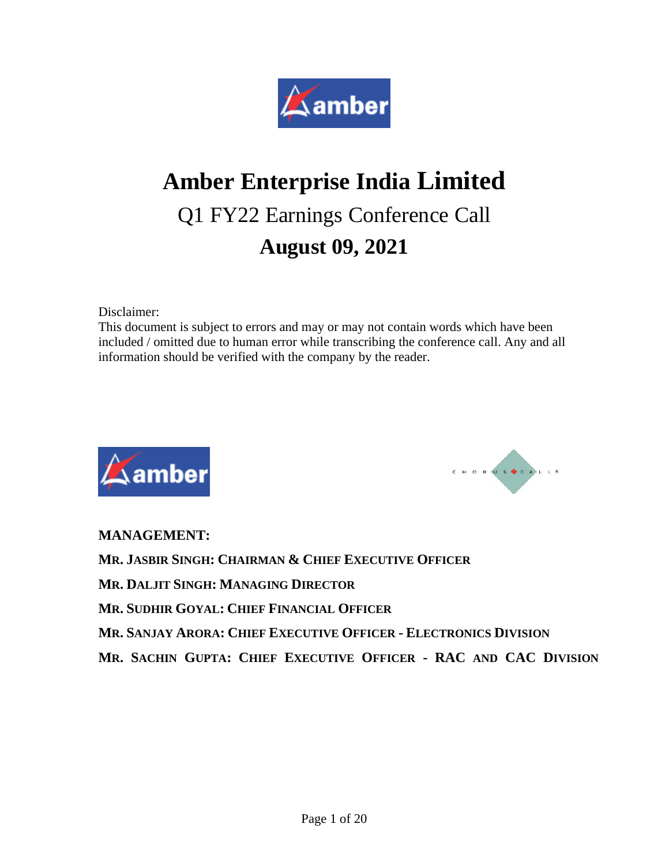

# **Amber Enterprise India Limited** Q1 FY22 Earnings Conference Call **August 09, 2021**

Disclaimer:

This document is subject to errors and may or may not contain words which have been included / omitted due to human error while transcribing the conference call. Any and all information should be verified with the company by the reader.





**MANAGEMENT:**

**MR. JASBIR SINGH: CHAIRMAN & CHIEF EXECUTIVE OFFICER**

**MR. DALJIT SINGH: MANAGING DIRECTOR**

**MR. SUDHIR GOYAL: CHIEF FINANCIAL OFFICER**

**MR. SANJAY ARORA: CHIEF EXECUTIVE OFFICER - ELECTRONICS DIVISION**

**MR. SACHIN GUPTA: CHIEF EXECUTIVE OFFICER - RAC AND CAC DIVISION**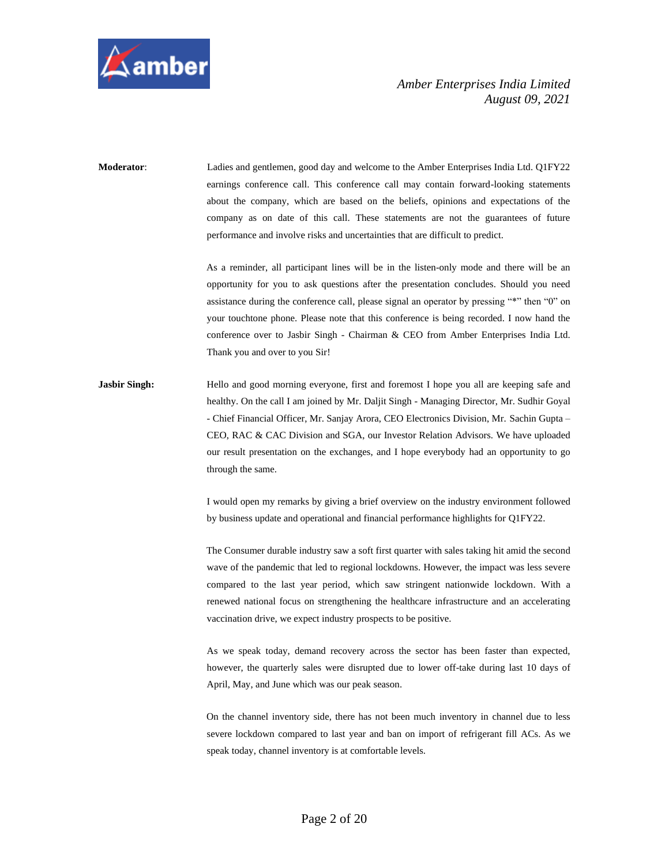

**Moderator**: Ladies and gentlemen, good day and welcome to the Amber Enterprises India Ltd. Q1FY22 earnings conference call. This conference call may contain forward-looking statements about the company, which are based on the beliefs, opinions and expectations of the company as on date of this call. These statements are not the guarantees of future performance and involve risks and uncertainties that are difficult to predict.

> As a reminder, all participant lines will be in the listen-only mode and there will be an opportunity for you to ask questions after the presentation concludes. Should you need assistance during the conference call, please signal an operator by pressing "\*" then "0" on your touchtone phone. Please note that this conference is being recorded. I now hand the conference over to Jasbir Singh - Chairman & CEO from Amber Enterprises India Ltd. Thank you and over to you Sir!

**Jasbir Singh:** Hello and good morning everyone, first and foremost I hope you all are keeping safe and healthy. On the call I am joined by Mr. Daljit Singh - Managing Director, Mr. Sudhir Goyal - Chief Financial Officer, Mr. Sanjay Arora, CEO Electronics Division, Mr. Sachin Gupta – CEO, RAC & CAC Division and SGA, our Investor Relation Advisors. We have uploaded our result presentation on the exchanges, and I hope everybody had an opportunity to go through the same.

> I would open my remarks by giving a brief overview on the industry environment followed by business update and operational and financial performance highlights for Q1FY22.

> The Consumer durable industry saw a soft first quarter with sales taking hit amid the second wave of the pandemic that led to regional lockdowns. However, the impact was less severe compared to the last year period, which saw stringent nationwide lockdown. With a renewed national focus on strengthening the healthcare infrastructure and an accelerating vaccination drive, we expect industry prospects to be positive.

> As we speak today, demand recovery across the sector has been faster than expected, however, the quarterly sales were disrupted due to lower off-take during last 10 days of April, May, and June which was our peak season.

> On the channel inventory side, there has not been much inventory in channel due to less severe lockdown compared to last year and ban on import of refrigerant fill ACs. As we speak today, channel inventory is at comfortable levels.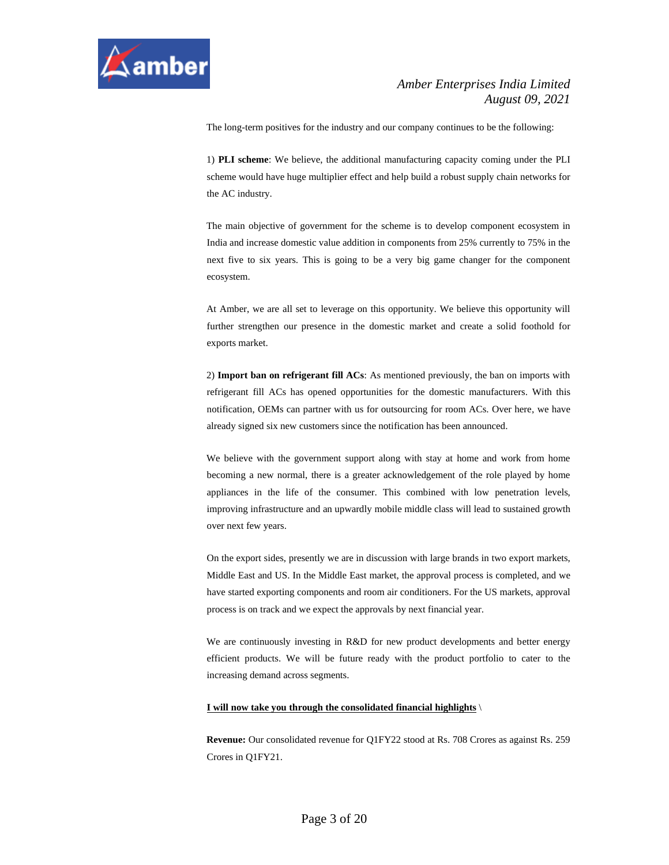

The long-term positives for the industry and our company continues to be the following:

1) **PLI scheme**: We believe, the additional manufacturing capacity coming under the PLI scheme would have huge multiplier effect and help build a robust supply chain networks for the AC industry.

The main objective of government for the scheme is to develop component ecosystem in India and increase domestic value addition in components from 25% currently to 75% in the next five to six years. This is going to be a very big game changer for the component ecosystem.

At Amber, we are all set to leverage on this opportunity. We believe this opportunity will further strengthen our presence in the domestic market and create a solid foothold for exports market.

2) **Import ban on refrigerant fill ACs**: As mentioned previously, the ban on imports with refrigerant fill ACs has opened opportunities for the domestic manufacturers. With this notification, OEMs can partner with us for outsourcing for room ACs. Over here, we have already signed six new customers since the notification has been announced.

We believe with the government support along with stay at home and work from home becoming a new normal, there is a greater acknowledgement of the role played by home appliances in the life of the consumer. This combined with low penetration levels, improving infrastructure and an upwardly mobile middle class will lead to sustained growth over next few years.

On the export sides, presently we are in discussion with large brands in two export markets, Middle East and US. In the Middle East market, the approval process is completed, and we have started exporting components and room air conditioners. For the US markets, approval process is on track and we expect the approvals by next financial year.

We are continuously investing in R&D for new product developments and better energy efficient products. We will be future ready with the product portfolio to cater to the increasing demand across segments.

#### **I will now take you through the consolidated financial highlights** \

**Revenue:** Our consolidated revenue for Q1FY22 stood at Rs. 708 Crores as against Rs. 259 Crores in Q1FY21.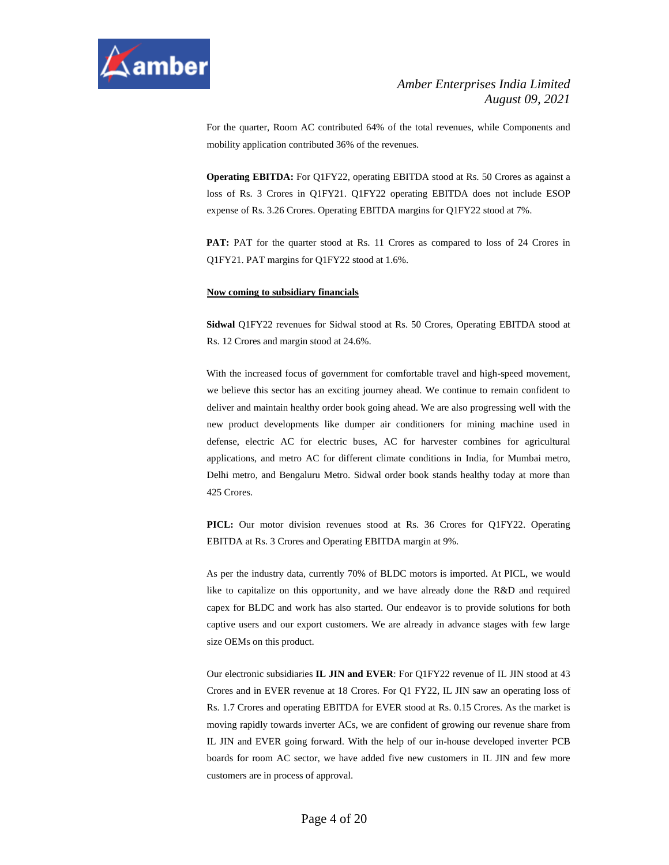

For the quarter, Room AC contributed 64% of the total revenues, while Components and mobility application contributed 36% of the revenues.

**Operating EBITDA:** For Q1FY22, operating EBITDA stood at Rs. 50 Crores as against a loss of Rs. 3 Crores in Q1FY21. Q1FY22 operating EBITDA does not include ESOP expense of Rs. 3.26 Crores. Operating EBITDA margins for Q1FY22 stood at 7%.

**PAT:** PAT for the quarter stood at Rs. 11 Crores as compared to loss of 24 Crores in Q1FY21. PAT margins for Q1FY22 stood at 1.6%.

#### **Now coming to subsidiary financials**

**Sidwal** Q1FY22 revenues for Sidwal stood at Rs. 50 Crores, Operating EBITDA stood at Rs. 12 Crores and margin stood at 24.6%.

With the increased focus of government for comfortable travel and high-speed movement, we believe this sector has an exciting journey ahead. We continue to remain confident to deliver and maintain healthy order book going ahead. We are also progressing well with the new product developments like dumper air conditioners for mining machine used in defense, electric AC for electric buses, AC for harvester combines for agricultural applications, and metro AC for different climate conditions in India, for Mumbai metro, Delhi metro, and Bengaluru Metro. Sidwal order book stands healthy today at more than 425 Crores.

**PICL:** Our motor division revenues stood at Rs. 36 Crores for Q1FY22. Operating EBITDA at Rs. 3 Crores and Operating EBITDA margin at 9%.

As per the industry data, currently 70% of BLDC motors is imported. At PICL, we would like to capitalize on this opportunity, and we have already done the R&D and required capex for BLDC and work has also started. Our endeavor is to provide solutions for both captive users and our export customers. We are already in advance stages with few large size OEMs on this product.

Our electronic subsidiaries **IL JIN and EVER**: For Q1FY22 revenue of IL JIN stood at 43 Crores and in EVER revenue at 18 Crores. For Q1 FY22, IL JIN saw an operating loss of Rs. 1.7 Crores and operating EBITDA for EVER stood at Rs. 0.15 Crores. As the market is moving rapidly towards inverter ACs, we are confident of growing our revenue share from IL JIN and EVER going forward. With the help of our in-house developed inverter PCB boards for room AC sector, we have added five new customers in IL JIN and few more customers are in process of approval.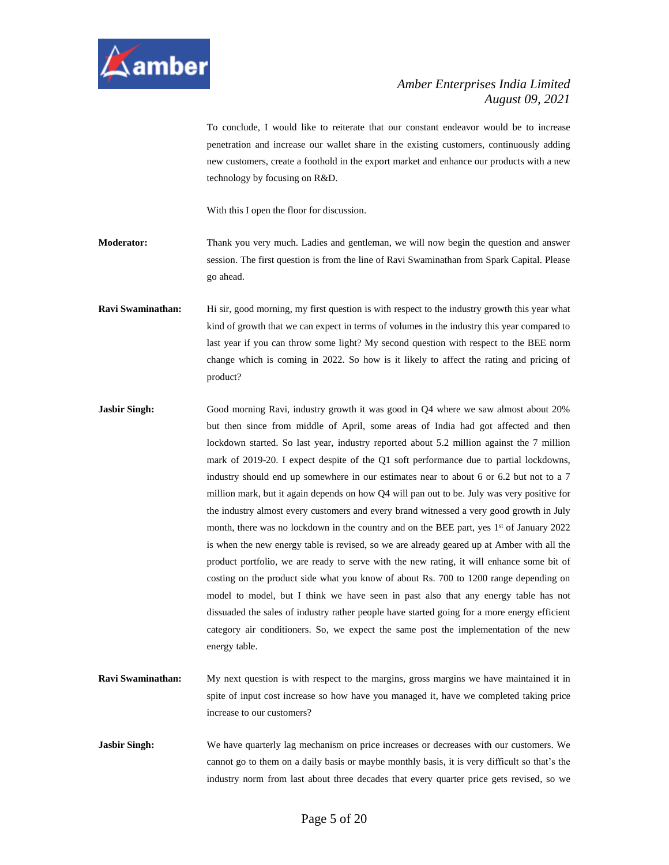

To conclude, I would like to reiterate that our constant endeavor would be to increase penetration and increase our wallet share in the existing customers, continuously adding new customers, create a foothold in the export market and enhance our products with a new technology by focusing on R&D.

With this I open the floor for discussion.

**Moderator:** Thank you very much. Ladies and gentleman, we will now begin the question and answer session. The first question is from the line of Ravi Swaminathan from Spark Capital. Please go ahead.

**Ravi Swaminathan:** Hi sir, good morning, my first question is with respect to the industry growth this year what kind of growth that we can expect in terms of volumes in the industry this year compared to last year if you can throw some light? My second question with respect to the BEE norm change which is coming in 2022. So how is it likely to affect the rating and pricing of product?

- **Jasbir Singh:** Good morning Ravi, industry growth it was good in Q4 where we saw almost about 20% but then since from middle of April, some areas of India had got affected and then lockdown started. So last year, industry reported about 5.2 million against the 7 million mark of 2019-20. I expect despite of the Q1 soft performance due to partial lockdowns, industry should end up somewhere in our estimates near to about 6 or 6.2 but not to a 7 million mark, but it again depends on how Q4 will pan out to be. July was very positive for the industry almost every customers and every brand witnessed a very good growth in July month, there was no lockdown in the country and on the BEE part, yes 1<sup>st</sup> of January 2022 is when the new energy table is revised, so we are already geared up at Amber with all the product portfolio, we are ready to serve with the new rating, it will enhance some bit of costing on the product side what you know of about Rs. 700 to 1200 range depending on model to model, but I think we have seen in past also that any energy table has not dissuaded the sales of industry rather people have started going for a more energy efficient category air conditioners. So, we expect the same post the implementation of the new energy table.
- **Ravi Swaminathan:** My next question is with respect to the margins, gross margins we have maintained it in spite of input cost increase so how have you managed it, have we completed taking price increase to our customers?
- **Jasbir Singh:** We have quarterly lag mechanism on price increases or decreases with our customers. We cannot go to them on a daily basis or maybe monthly basis, it is very difficult so that's the industry norm from last about three decades that every quarter price gets revised, so we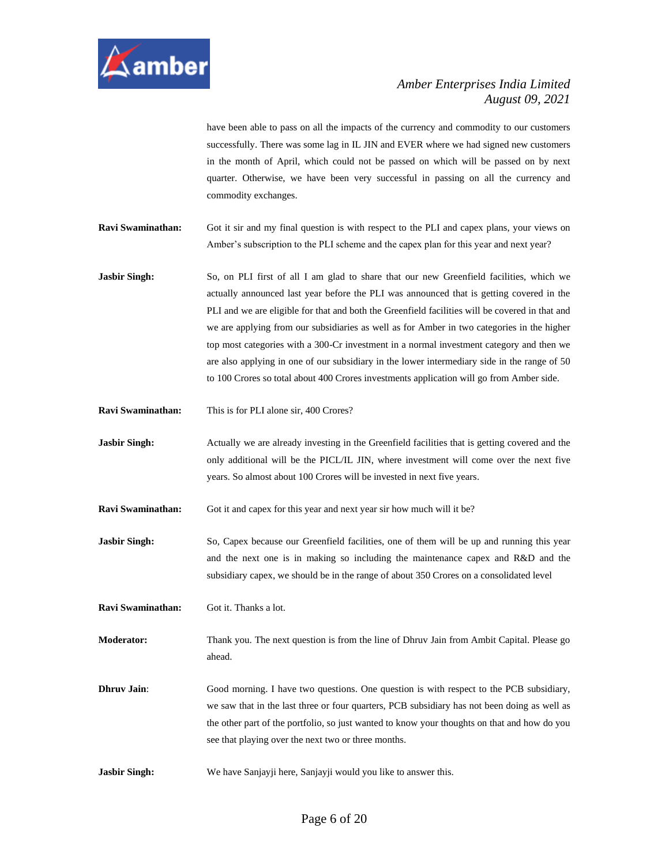

have been able to pass on all the impacts of the currency and commodity to our customers successfully. There was some lag in IL JIN and EVER where we had signed new customers in the month of April, which could not be passed on which will be passed on by next quarter. Otherwise, we have been very successful in passing on all the currency and commodity exchanges.

**Ravi Swaminathan:** Got it sir and my final question is with respect to the PLI and capex plans, your views on Amber's subscription to the PLI scheme and the capex plan for this year and next year?

**Jasbir Singh:** So, on PLI first of all I am glad to share that our new Greenfield facilities, which we actually announced last year before the PLI was announced that is getting covered in the PLI and we are eligible for that and both the Greenfield facilities will be covered in that and we are applying from our subsidiaries as well as for Amber in two categories in the higher top most categories with a 300-Cr investment in a normal investment category and then we are also applying in one of our subsidiary in the lower intermediary side in the range of 50 to 100 Crores so total about 400 Crores investments application will go from Amber side.

**Ravi Swaminathan:** This is for PLI alone sir, 400 Crores?

**Jasbir Singh:** Actually we are already investing in the Greenfield facilities that is getting covered and the only additional will be the PICL/IL JIN, where investment will come over the next five years. So almost about 100 Crores will be invested in next five years.

**Ravi Swaminathan:** Got it and capex for this year and next year sir how much will it be?

**Jasbir Singh:** So, Capex because our Greenfield facilities, one of them will be up and running this year and the next one is in making so including the maintenance capex and R&D and the subsidiary capex, we should be in the range of about 350 Crores on a consolidated level

**Ravi Swaminathan:** Got it. Thanks a lot.

**Moderator:** Thank you. The next question is from the line of Dhruv Jain from Ambit Capital. Please go ahead.

**Dhruv Jain**: Good morning. I have two questions. One question is with respect to the PCB subsidiary, we saw that in the last three or four quarters, PCB subsidiary has not been doing as well as the other part of the portfolio, so just wanted to know your thoughts on that and how do you see that playing over the next two or three months.

**Jasbir Singh:** We have Sanjayji here, Sanjayji would you like to answer this.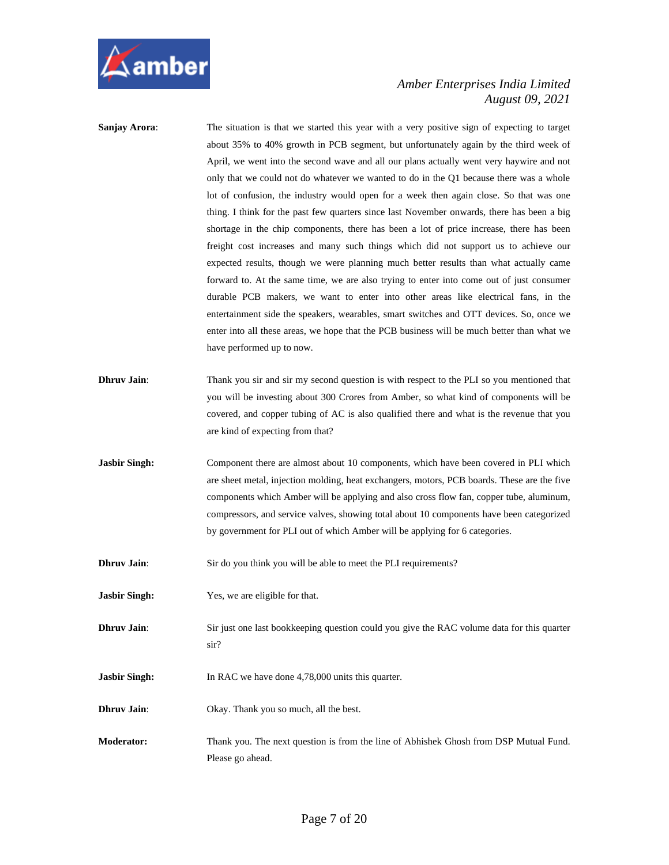

- **Sanjay Arora:** The situation is that we started this year with a very positive sign of expecting to target about 35% to 40% growth in PCB segment, but unfortunately again by the third week of April, we went into the second wave and all our plans actually went very haywire and not only that we could not do whatever we wanted to do in the Q1 because there was a whole lot of confusion, the industry would open for a week then again close. So that was one thing. I think for the past few quarters since last November onwards, there has been a big shortage in the chip components, there has been a lot of price increase, there has been freight cost increases and many such things which did not support us to achieve our expected results, though we were planning much better results than what actually came forward to. At the same time, we are also trying to enter into come out of just consumer durable PCB makers, we want to enter into other areas like electrical fans, in the entertainment side the speakers, wearables, smart switches and OTT devices. So, once we enter into all these areas, we hope that the PCB business will be much better than what we have performed up to now.
- **Dhruv Jain:** Thank you sir and sir my second question is with respect to the PLI so you mentioned that you will be investing about 300 Crores from Amber, so what kind of components will be covered, and copper tubing of AC is also qualified there and what is the revenue that you are kind of expecting from that?
- **Jasbir Singh:** Component there are almost about 10 components, which have been covered in PLI which are sheet metal, injection molding, heat exchangers, motors, PCB boards. These are the five components which Amber will be applying and also cross flow fan, copper tube, aluminum, compressors, and service valves, showing total about 10 components have been categorized by government for PLI out of which Amber will be applying for 6 categories.
- **Dhruv Jain:** Sir do you think you will be able to meet the PLI requirements?
- **Jasbir Singh:** Yes, we are eligible for that.
- **Dhruv Jain**: Sir just one last bookkeeping question could you give the RAC volume data for this quarter sir?
- **Jasbir Singh:** In RAC we have done 4,78,000 units this quarter.
- **Dhruv Jain:** Okay. Thank you so much, all the best.
- **Moderator:** Thank you. The next question is from the line of Abhishek Ghosh from DSP Mutual Fund. Please go ahead.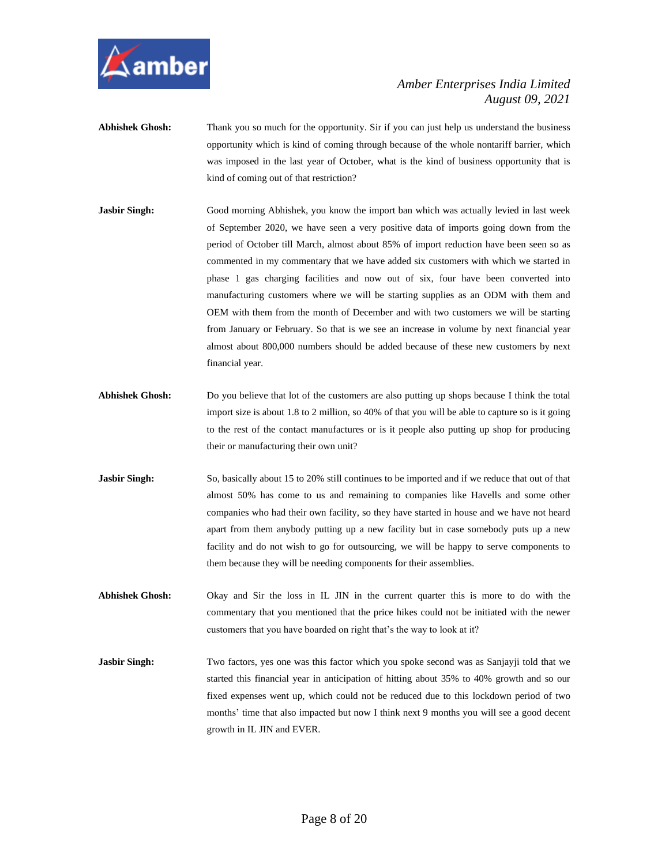

- **Abhishek Ghosh:** Thank you so much for the opportunity. Sir if you can just help us understand the business opportunity which is kind of coming through because of the whole nontariff barrier, which was imposed in the last year of October, what is the kind of business opportunity that is kind of coming out of that restriction?
- **Jasbir Singh:** Good morning Abhishek, you know the import ban which was actually levied in last week of September 2020, we have seen a very positive data of imports going down from the period of October till March, almost about 85% of import reduction have been seen so as commented in my commentary that we have added six customers with which we started in phase 1 gas charging facilities and now out of six, four have been converted into manufacturing customers where we will be starting supplies as an ODM with them and OEM with them from the month of December and with two customers we will be starting from January or February. So that is we see an increase in volume by next financial year almost about 800,000 numbers should be added because of these new customers by next financial year.
- **Abhishek Ghosh:** Do you believe that lot of the customers are also putting up shops because I think the total import size is about 1.8 to 2 million, so 40% of that you will be able to capture so is it going to the rest of the contact manufactures or is it people also putting up shop for producing their or manufacturing their own unit?
- **Jasbir Singh:** So, basically about 15 to 20% still continues to be imported and if we reduce that out of that almost 50% has come to us and remaining to companies like Havells and some other companies who had their own facility, so they have started in house and we have not heard apart from them anybody putting up a new facility but in case somebody puts up a new facility and do not wish to go for outsourcing, we will be happy to serve components to them because they will be needing components for their assemblies.
- **Abhishek Ghosh:** Okay and Sir the loss in IL JIN in the current quarter this is more to do with the commentary that you mentioned that the price hikes could not be initiated with the newer customers that you have boarded on right that's the way to look at it?
- **Jasbir Singh:** Two factors, yes one was this factor which you spoke second was as Sanjayji told that we started this financial year in anticipation of hitting about 35% to 40% growth and so our fixed expenses went up, which could not be reduced due to this lockdown period of two months' time that also impacted but now I think next 9 months you will see a good decent growth in IL JIN and EVER.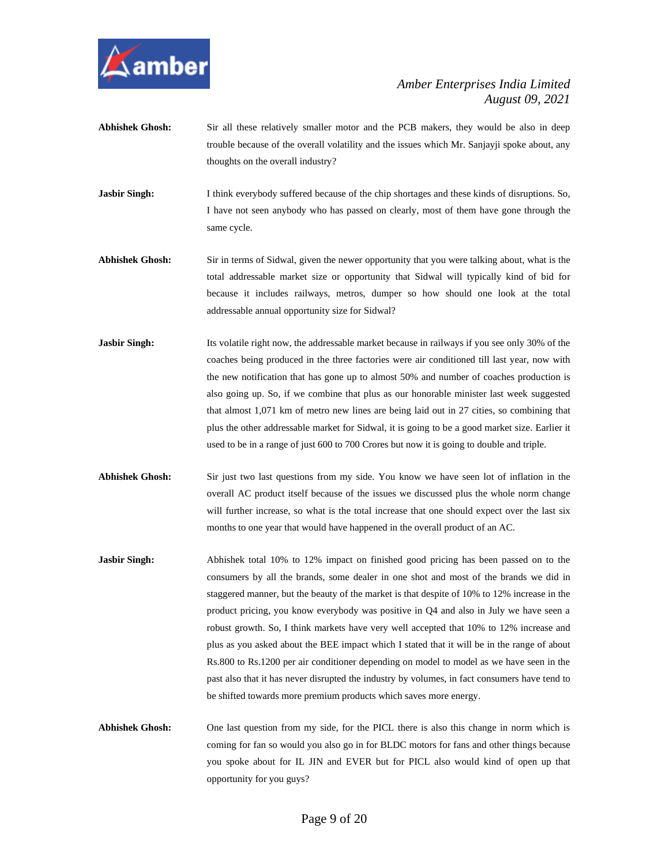

- Abhishek Ghosh: Sir all these relatively smaller motor and the PCB makers, they would be also in deep trouble because of the overall volatility and the issues which Mr. Sanjayji spoke about, any thoughts on the overall industry?
- **Jasbir Singh:** I think everybody suffered because of the chip shortages and these kinds of disruptions. So, I have not seen anybody who has passed on clearly, most of them have gone through the same cycle.
- **Abhishek Ghosh:** Sir in terms of Sidwal, given the newer opportunity that you were talking about, what is the total addressable market size or opportunity that Sidwal will typically kind of bid for because it includes railways, metros, dumper so how should one look at the total addressable annual opportunity size for Sidwal?
- **Jasbir Singh:** Its volatile right now, the addressable market because in railways if you see only 30% of the coaches being produced in the three factories were air conditioned till last year, now with the new notification that has gone up to almost 50% and number of coaches production is also going up. So, if we combine that plus as our honorable minister last week suggested that almost 1,071 km of metro new lines are being laid out in 27 cities, so combining that plus the other addressable market for Sidwal, it is going to be a good market size. Earlier it used to be in a range of just 600 to 700 Crores but now it is going to double and triple.
- **Abhishek Ghosh:** Sir just two last questions from my side. You know we have seen lot of inflation in the overall AC product itself because of the issues we discussed plus the whole norm change will further increase, so what is the total increase that one should expect over the last six months to one year that would have happened in the overall product of an AC.
- **Jasbir Singh:** Abhishek total 10% to 12% impact on finished good pricing has been passed on to the consumers by all the brands, some dealer in one shot and most of the brands we did in staggered manner, but the beauty of the market is that despite of 10% to 12% increase in the product pricing, you know everybody was positive in Q4 and also in July we have seen a robust growth. So, I think markets have very well accepted that 10% to 12% increase and plus as you asked about the BEE impact which I stated that it will be in the range of about Rs.800 to Rs.1200 per air conditioner depending on model to model as we have seen in the past also that it has never disrupted the industry by volumes, in fact consumers have tend to be shifted towards more premium products which saves more energy.
- **Abhishek Ghosh:** One last question from my side, for the PICL there is also this change in norm which is coming for fan so would you also go in for BLDC motors for fans and other things because you spoke about for IL JIN and EVER but for PICL also would kind of open up that opportunity for you guys?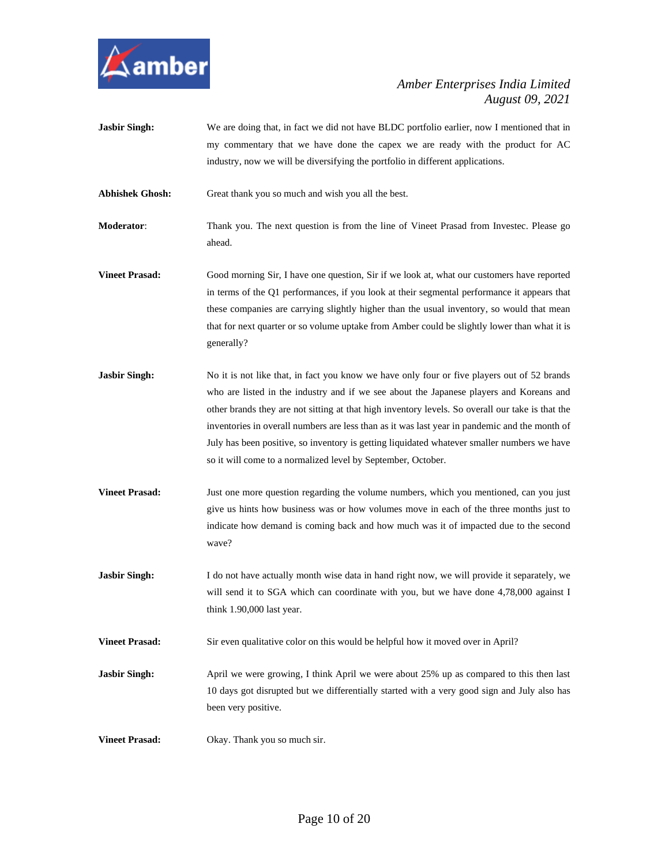

**Jasbir Singh:** We are doing that, in fact we did not have BLDC portfolio earlier, now I mentioned that in my commentary that we have done the capex we are ready with the product for AC industry, now we will be diversifying the portfolio in different applications.

Abhishek Ghosh: Great thank you so much and wish you all the best.

- **Moderator**: Thank you. The next question is from the line of Vineet Prasad from Investec. Please go ahead.
- **Vineet Prasad:** Good morning Sir, I have one question, Sir if we look at, what our customers have reported in terms of the Q1 performances, if you look at their segmental performance it appears that these companies are carrying slightly higher than the usual inventory, so would that mean that for next quarter or so volume uptake from Amber could be slightly lower than what it is generally?
- **Jasbir Singh:** No it is not like that, in fact you know we have only four or five players out of 52 brands who are listed in the industry and if we see about the Japanese players and Koreans and other brands they are not sitting at that high inventory levels. So overall our take is that the inventories in overall numbers are less than as it was last year in pandemic and the month of July has been positive, so inventory is getting liquidated whatever smaller numbers we have so it will come to a normalized level by September, October.
- **Vineet Prasad:** Just one more question regarding the volume numbers, which you mentioned, can you just give us hints how business was or how volumes move in each of the three months just to indicate how demand is coming back and how much was it of impacted due to the second wave?
- **Jasbir Singh:** I do not have actually month wise data in hand right now, we will provide it separately, we will send it to SGA which can coordinate with you, but we have done 4,78,000 against I think 1.90,000 last year.
- **Vineet Prasad:** Sir even qualitative color on this would be helpful how it moved over in April?
- **Jasbir Singh:** April we were growing, I think April we were about 25% up as compared to this then last 10 days got disrupted but we differentially started with a very good sign and July also has been very positive.
- **Vineet Prasad:** Okay. Thank you so much sir.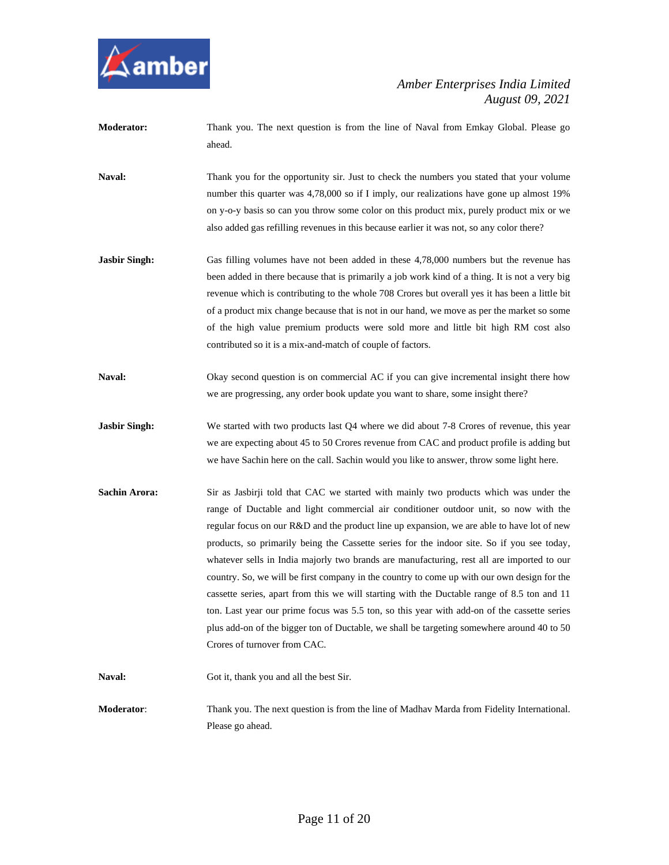

- **Moderator:** Thank you. The next question is from the line of Naval from Emkay Global. Please go ahead.
- Naval: Thank you for the opportunity sir. Just to check the numbers you stated that your volume number this quarter was 4,78,000 so if I imply, our realizations have gone up almost 19% on y-o-y basis so can you throw some color on this product mix, purely product mix or we also added gas refilling revenues in this because earlier it was not, so any color there?
- **Jasbir Singh:** Gas filling volumes have not been added in these 4,78,000 numbers but the revenue has been added in there because that is primarily a job work kind of a thing. It is not a very big revenue which is contributing to the whole 708 Crores but overall yes it has been a little bit of a product mix change because that is not in our hand, we move as per the market so some of the high value premium products were sold more and little bit high RM cost also contributed so it is a mix-and-match of couple of factors.
- Naval: Okay second question is on commercial AC if you can give incremental insight there how we are progressing, any order book update you want to share, some insight there?
- **Jasbir Singh:** We started with two products last Q4 where we did about 7-8 Crores of revenue, this year we are expecting about 45 to 50 Crores revenue from CAC and product profile is adding but we have Sachin here on the call. Sachin would you like to answer, throw some light here.
- **Sachin Arora:** Sir as Jasbirji told that CAC we started with mainly two products which was under the range of Ductable and light commercial air conditioner outdoor unit, so now with the regular focus on our R&D and the product line up expansion, we are able to have lot of new products, so primarily being the Cassette series for the indoor site. So if you see today, whatever sells in India majorly two brands are manufacturing, rest all are imported to our country. So, we will be first company in the country to come up with our own design for the cassette series, apart from this we will starting with the Ductable range of 8.5 ton and 11 ton. Last year our prime focus was 5.5 ton, so this year with add-on of the cassette series plus add-on of the bigger ton of Ductable, we shall be targeting somewhere around 40 to 50 Crores of turnover from CAC.
- Naval: Got it, thank you and all the best Sir.
- **Moderator**: Thank you. The next question is from the line of Madhav Marda from Fidelity International. Please go ahead.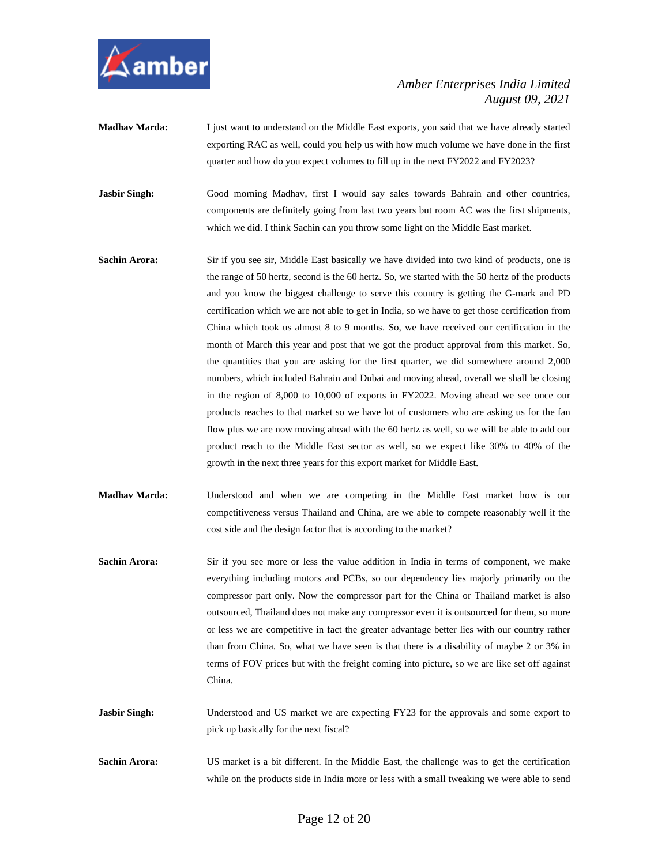

**Madhav Marda:** I just want to understand on the Middle East exports, you said that we have already started exporting RAC as well, could you help us with how much volume we have done in the first quarter and how do you expect volumes to fill up in the next FY2022 and FY2023?

Jasbir Singh: Good morning Madhav, first I would say sales towards Bahrain and other countries, components are definitely going from last two years but room AC was the first shipments, which we did. I think Sachin can you throw some light on the Middle East market.

- **Sachin Arora:** Sir if you see sir, Middle East basically we have divided into two kind of products, one is the range of 50 hertz, second is the 60 hertz. So, we started with the 50 hertz of the products and you know the biggest challenge to serve this country is getting the G-mark and PD certification which we are not able to get in India, so we have to get those certification from China which took us almost 8 to 9 months. So, we have received our certification in the month of March this year and post that we got the product approval from this market. So, the quantities that you are asking for the first quarter, we did somewhere around 2,000 numbers, which included Bahrain and Dubai and moving ahead, overall we shall be closing in the region of 8,000 to 10,000 of exports in FY2022. Moving ahead we see once our products reaches to that market so we have lot of customers who are asking us for the fan flow plus we are now moving ahead with the 60 hertz as well, so we will be able to add our product reach to the Middle East sector as well, so we expect like 30% to 40% of the growth in the next three years for this export market for Middle East.
- **Madhav Marda:** Understood and when we are competing in the Middle East market how is our competitiveness versus Thailand and China, are we able to compete reasonably well it the cost side and the design factor that is according to the market?
- **Sachin Arora:** Sir if you see more or less the value addition in India in terms of component, we make everything including motors and PCBs, so our dependency lies majorly primarily on the compressor part only. Now the compressor part for the China or Thailand market is also outsourced, Thailand does not make any compressor even it is outsourced for them, so more or less we are competitive in fact the greater advantage better lies with our country rather than from China. So, what we have seen is that there is a disability of maybe 2 or 3% in terms of FOV prices but with the freight coming into picture, so we are like set off against China.
- **Jasbir Singh:** Understood and US market we are expecting FY23 for the approvals and some export to pick up basically for the next fiscal?
- **Sachin Arora:** US market is a bit different. In the Middle East, the challenge was to get the certification while on the products side in India more or less with a small tweaking we were able to send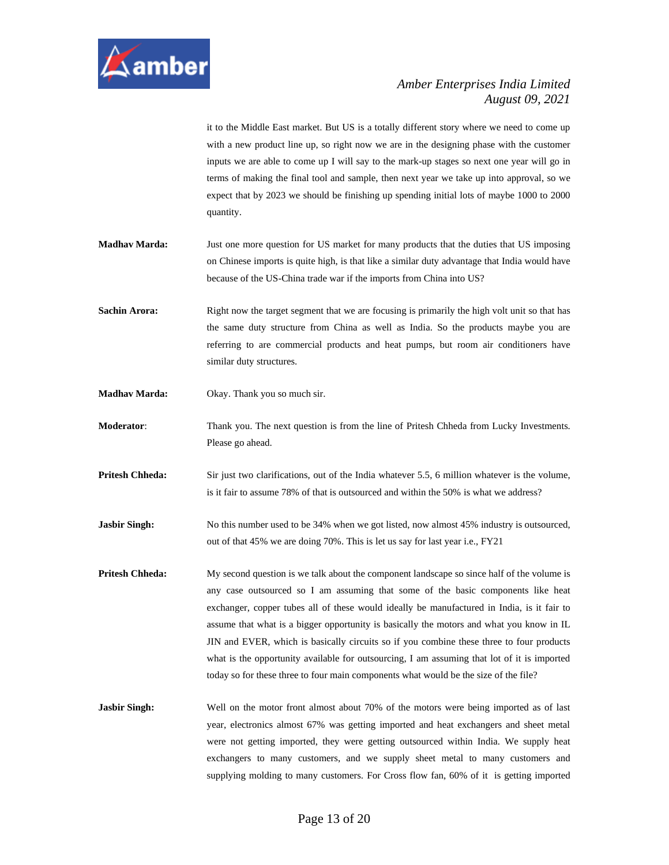

it to the Middle East market. But US is a totally different story where we need to come up with a new product line up, so right now we are in the designing phase with the customer inputs we are able to come up I will say to the mark-up stages so next one year will go in terms of making the final tool and sample, then next year we take up into approval, so we expect that by 2023 we should be finishing up spending initial lots of maybe 1000 to 2000 quantity.

- **Madhav Marda:** Just one more question for US market for many products that the duties that US imposing on Chinese imports is quite high, is that like a similar duty advantage that India would have because of the US-China trade war if the imports from China into US?
- **Sachin Arora:** Right now the target segment that we are focusing is primarily the high volt unit so that has the same duty structure from China as well as India. So the products maybe you are referring to are commercial products and heat pumps, but room air conditioners have similar duty structures.
- **Madhav Marda:** Okay. Thank you so much sir.
- **Moderator**: Thank you. The next question is from the line of Pritesh Chheda from Lucky Investments. Please go ahead.
- **Pritesh Chheda:** Sir just two clarifications, out of the India whatever 5.5, 6 million whatever is the volume, is it fair to assume 78% of that is outsourced and within the 50% is what we address?
- **Jasbir Singh:** No this number used to be 34% when we got listed, now almost 45% industry is outsourced, out of that 45% we are doing 70%. This is let us say for last year i.e., FY21
- **Pritesh Chheda:** My second question is we talk about the component landscape so since half of the volume is any case outsourced so I am assuming that some of the basic components like heat exchanger, copper tubes all of these would ideally be manufactured in India, is it fair to assume that what is a bigger opportunity is basically the motors and what you know in IL JIN and EVER, which is basically circuits so if you combine these three to four products what is the opportunity available for outsourcing, I am assuming that lot of it is imported today so for these three to four main components what would be the size of the file?
- **Jasbir Singh:** Well on the motor front almost about 70% of the motors were being imported as of last year, electronics almost 67% was getting imported and heat exchangers and sheet metal were not getting imported, they were getting outsourced within India. We supply heat exchangers to many customers, and we supply sheet metal to many customers and supplying molding to many customers. For Cross flow fan, 60% of it is getting imported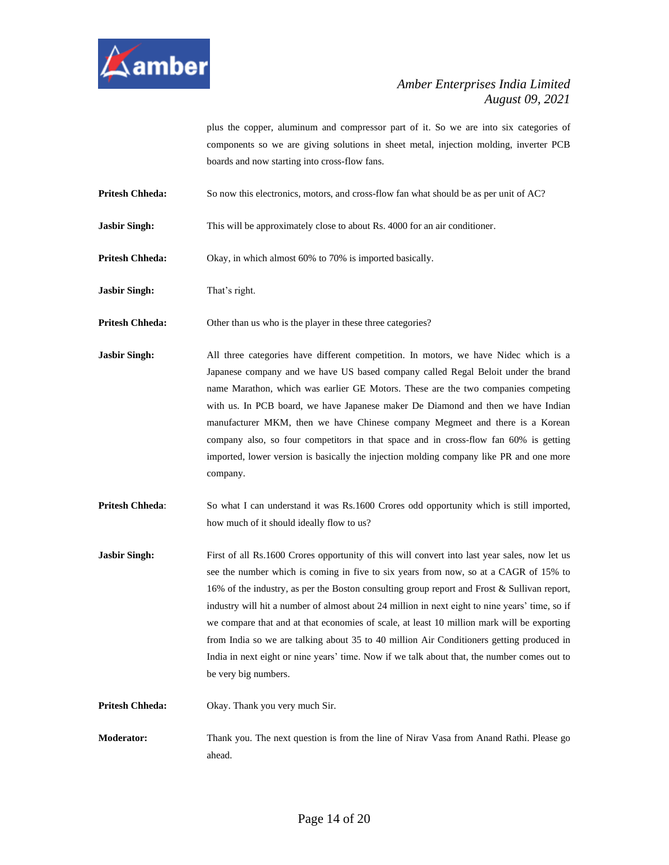

plus the copper, aluminum and compressor part of it. So we are into six categories of components so we are giving solutions in sheet metal, injection molding, inverter PCB boards and now starting into cross-flow fans.

**Pritesh Chheda:** So now this electronics, motors, and cross-flow fan what should be as per unit of AC?

**Jasbir Singh:** This will be approximately close to about Rs. 4000 for an air conditioner.

**Pritesh Chheda:** Okay, in which almost 60% to 70% is imported basically.

**Jasbir Singh:** That's right.

**Pritesh Chheda:** Other than us who is the player in these three categories?

Jasbir Singh: All three categories have different competition. In motors, we have Nidec which is a Japanese company and we have US based company called Regal Beloit under the brand name Marathon, which was earlier GE Motors. These are the two companies competing with us. In PCB board, we have Japanese maker De Diamond and then we have Indian manufacturer MKM, then we have Chinese company Megmeet and there is a Korean company also, so four competitors in that space and in cross-flow fan 60% is getting imported, lower version is basically the injection molding company like PR and one more company.

**Pritesh Chheda:** So what I can understand it was Rs.1600 Crores odd opportunity which is still imported, how much of it should ideally flow to us?

**Jasbir Singh:** First of all Rs.1600 Crores opportunity of this will convert into last year sales, now let us see the number which is coming in five to six years from now, so at a CAGR of 15% to 16% of the industry, as per the Boston consulting group report and Frost & Sullivan report, industry will hit a number of almost about 24 million in next eight to nine years' time, so if we compare that and at that economies of scale, at least 10 million mark will be exporting from India so we are talking about 35 to 40 million Air Conditioners getting produced in India in next eight or nine years' time. Now if we talk about that, the number comes out to be very big numbers.

**Pritesh Chheda:** Okay. Thank you very much Sir.

**Moderator:** Thank you. The next question is from the line of Nirav Vasa from Anand Rathi. Please go ahead.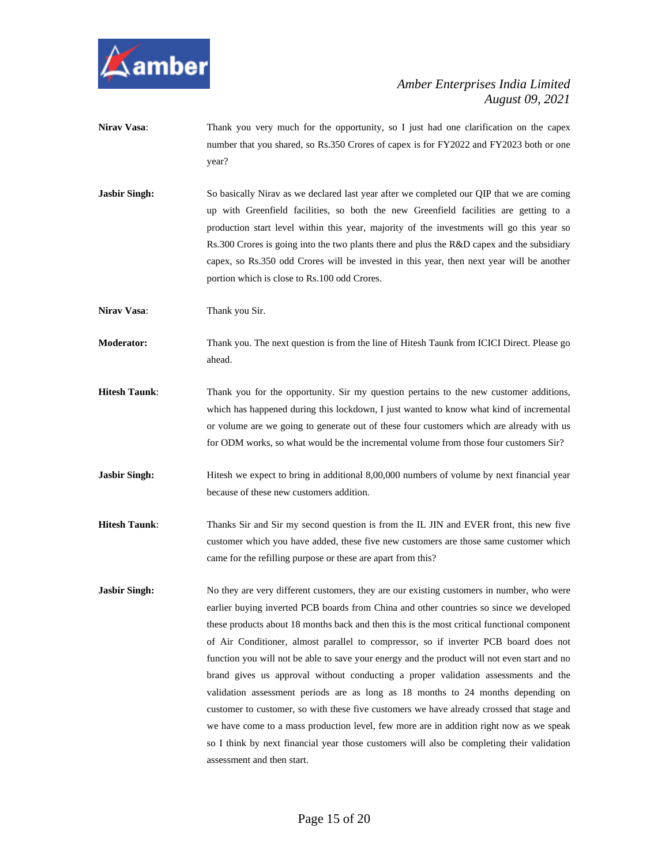

- Nirav Vasa: Thank you very much for the opportunity, so I just had one clarification on the capex number that you shared, so Rs.350 Crores of capex is for FY2022 and FY2023 both or one year?
- **Jasbir Singh:** So basically Nirav as we declared last year after we completed our OIP that we are coming up with Greenfield facilities, so both the new Greenfield facilities are getting to a production start level within this year, majority of the investments will go this year so Rs.300 Crores is going into the two plants there and plus the R&D capex and the subsidiary capex, so Rs.350 odd Crores will be invested in this year, then next year will be another portion which is close to Rs.100 odd Crores.

**Nirav Vasa:** Thank you Sir.

**Moderator:** Thank you. The next question is from the line of Hitesh Taunk from ICICI Direct. Please go ahead.

- **Hitesh Taunk**: Thank you for the opportunity. Sir my question pertains to the new customer additions, which has happened during this lockdown, I just wanted to know what kind of incremental or volume are we going to generate out of these four customers which are already with us for ODM works, so what would be the incremental volume from those four customers Sir?
- **Jasbir Singh:** Hitesh we expect to bring in additional 8,00,000 numbers of volume by next financial year because of these new customers addition.
- **Hitesh Taunk**: Thanks Sir and Sir my second question is from the IL JIN and EVER front, this new five customer which you have added, these five new customers are those same customer which came for the refilling purpose or these are apart from this?
- **Jasbir Singh:** No they are very different customers, they are our existing customers in number, who were earlier buying inverted PCB boards from China and other countries so since we developed these products about 18 months back and then this is the most critical functional component of Air Conditioner, almost parallel to compressor, so if inverter PCB board does not function you will not be able to save your energy and the product will not even start and no brand gives us approval without conducting a proper validation assessments and the validation assessment periods are as long as 18 months to 24 months depending on customer to customer, so with these five customers we have already crossed that stage and we have come to a mass production level, few more are in addition right now as we speak so I think by next financial year those customers will also be completing their validation assessment and then start.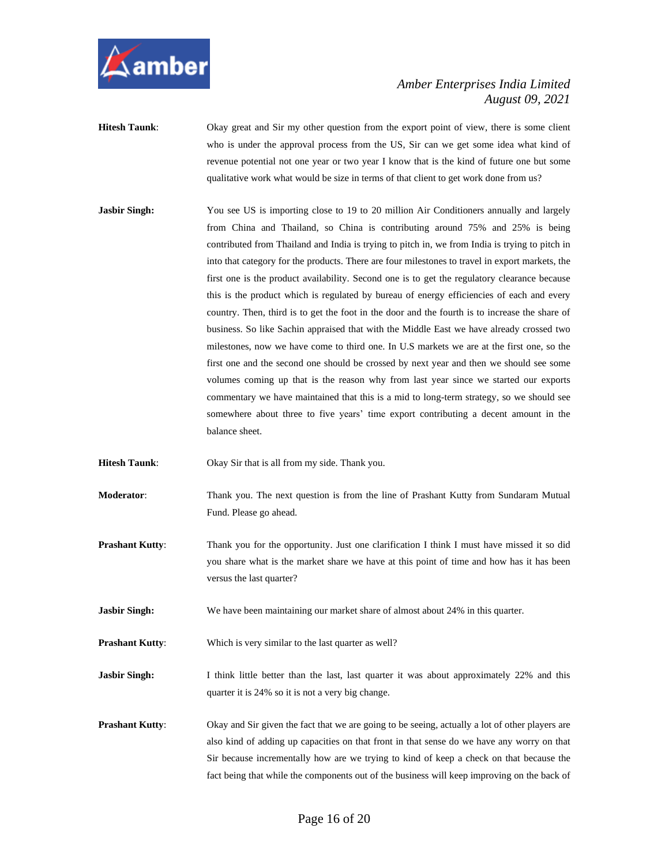

- **Hitesh Taunk**: Okay great and Sir my other question from the export point of view, there is some client who is under the approval process from the US, Sir can we get some idea what kind of revenue potential not one year or two year I know that is the kind of future one but some qualitative work what would be size in terms of that client to get work done from us?
- **Jasbir Singh:** You see US is importing close to 19 to 20 million Air Conditioners annually and largely from China and Thailand, so China is contributing around 75% and 25% is being contributed from Thailand and India is trying to pitch in, we from India is trying to pitch in into that category for the products. There are four milestones to travel in export markets, the first one is the product availability. Second one is to get the regulatory clearance because this is the product which is regulated by bureau of energy efficiencies of each and every country. Then, third is to get the foot in the door and the fourth is to increase the share of business. So like Sachin appraised that with the Middle East we have already crossed two milestones, now we have come to third one. In U.S markets we are at the first one, so the first one and the second one should be crossed by next year and then we should see some volumes coming up that is the reason why from last year since we started our exports commentary we have maintained that this is a mid to long-term strategy, so we should see somewhere about three to five years' time export contributing a decent amount in the balance sheet.
- **Hitesh Taunk**: Okay Sir that is all from my side. Thank you.
- **Moderator**: Thank you. The next question is from the line of Prashant Kutty from Sundaram Mutual Fund. Please go ahead.
- **Prashant Kutty:** Thank you for the opportunity. Just one clarification I think I must have missed it so did you share what is the market share we have at this point of time and how has it has been versus the last quarter?
- **Jasbir Singh:** We have been maintaining our market share of almost about 24% in this quarter.

**Prashant Kutty:** Which is very similar to the last quarter as well?

- **Jasbir Singh:** I think little better than the last, last quarter it was about approximately 22% and this quarter it is 24% so it is not a very big change.
- **Prashant Kutty:** Okay and Sir given the fact that we are going to be seeing, actually a lot of other players are also kind of adding up capacities on that front in that sense do we have any worry on that Sir because incrementally how are we trying to kind of keep a check on that because the fact being that while the components out of the business will keep improving on the back of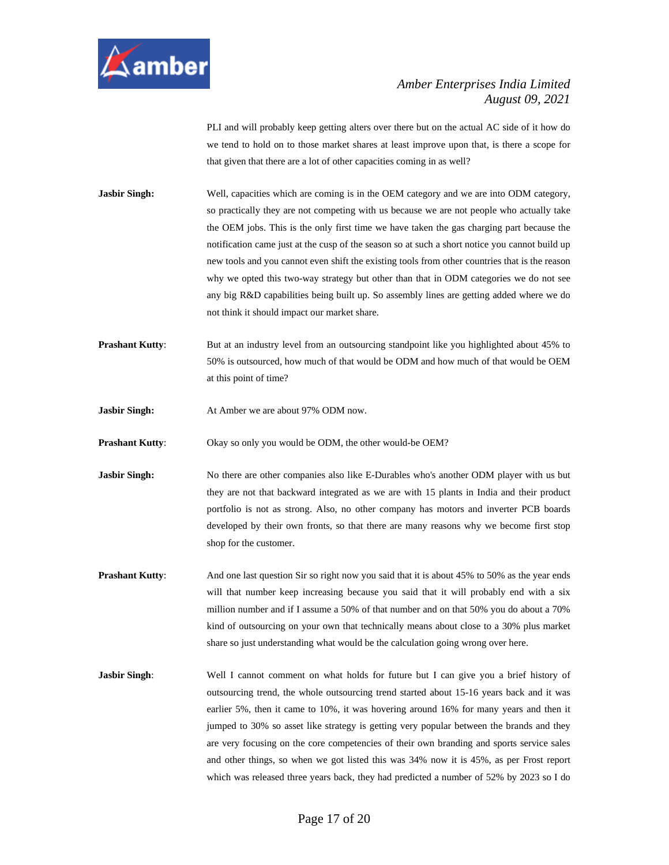

PLI and will probably keep getting alters over there but on the actual AC side of it how do we tend to hold on to those market shares at least improve upon that, is there a scope for that given that there are a lot of other capacities coming in as well?

**Jasbir Singh:** Well, capacities which are coming is in the OEM category and we are into ODM category, so practically they are not competing with us because we are not people who actually take the OEM jobs. This is the only first time we have taken the gas charging part because the notification came just at the cusp of the season so at such a short notice you cannot build up new tools and you cannot even shift the existing tools from other countries that is the reason why we opted this two-way strategy but other than that in ODM categories we do not see any big R&D capabilities being built up. So assembly lines are getting added where we do not think it should impact our market share.

- **Prashant Kutty:** But at an industry level from an outsourcing standpoint like you highlighted about 45% to 50% is outsourced, how much of that would be ODM and how much of that would be OEM at this point of time?
- **Jasbir Singh:** At Amber we are about 97% ODM now.

**Prashant Kutty:** Okay so only you would be ODM, the other would-be OEM?

- **Jasbir Singh:** No there are other companies also like E-Durables who's another ODM player with us but they are not that backward integrated as we are with 15 plants in India and their product portfolio is not as strong. Also, no other company has motors and inverter PCB boards developed by their own fronts, so that there are many reasons why we become first stop shop for the customer.
- **Prashant Kutty:** And one last question Sir so right now you said that it is about 45% to 50% as the year ends will that number keep increasing because you said that it will probably end with a six million number and if I assume a 50% of that number and on that 50% you do about a 70% kind of outsourcing on your own that technically means about close to a 30% plus market share so just understanding what would be the calculation going wrong over here.
- **Jasbir Singh:** Well I cannot comment on what holds for future but I can give you a brief history of outsourcing trend, the whole outsourcing trend started about 15-16 years back and it was earlier 5%, then it came to 10%, it was hovering around 16% for many years and then it jumped to 30% so asset like strategy is getting very popular between the brands and they are very focusing on the core competencies of their own branding and sports service sales and other things, so when we got listed this was 34% now it is 45%, as per Frost report which was released three years back, they had predicted a number of 52% by 2023 so I do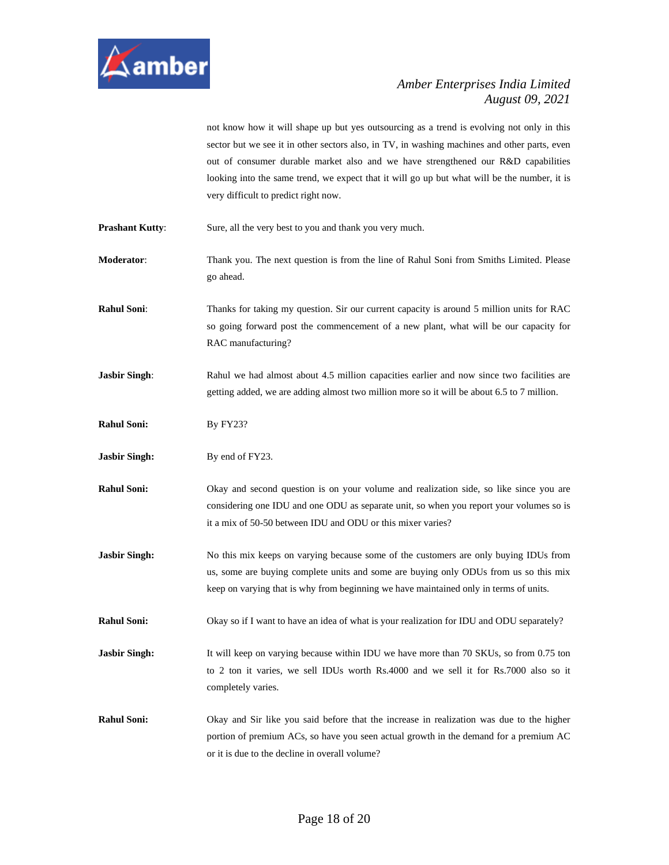

not know how it will shape up but yes outsourcing as a trend is evolving not only in this sector but we see it in other sectors also, in TV, in washing machines and other parts, even out of consumer durable market also and we have strengthened our R&D capabilities looking into the same trend, we expect that it will go up but what will be the number, it is very difficult to predict right now.

**Prashant Kutty:** Sure, all the very best to you and thank you very much.

**Moderator**: Thank you. The next question is from the line of Rahul Soni from Smiths Limited. Please go ahead.

**Rahul Soni:** Thanks for taking my question. Sir our current capacity is around 5 million units for RAC so going forward post the commencement of a new plant, what will be our capacity for RAC manufacturing?

**Jasbir Singh:** Rahul we had almost about 4.5 million capacities earlier and now since two facilities are getting added, we are adding almost two million more so it will be about 6.5 to 7 million.

**Rahul Soni:** By FY23?

**Jasbir Singh:** By end of FY23.

**Rahul Soni:** Okay and second question is on your volume and realization side, so like since you are considering one IDU and one ODU as separate unit, so when you report your volumes so is it a mix of 50-50 between IDU and ODU or this mixer varies?

**Jasbir Singh:** No this mix keeps on varying because some of the customers are only buying IDUs from us, some are buying complete units and some are buying only ODUs from us so this mix keep on varying that is why from beginning we have maintained only in terms of units.

**Rahul Soni:** Okay so if I want to have an idea of what is your realization for IDU and ODU separately?

**Jasbir Singh:** It will keep on varying because within IDU we have more than 70 SKUs, so from 0.75 ton to 2 ton it varies, we sell IDUs worth Rs.4000 and we sell it for Rs.7000 also so it completely varies.

**Rahul Soni:** Okay and Sir like you said before that the increase in realization was due to the higher portion of premium ACs, so have you seen actual growth in the demand for a premium AC or it is due to the decline in overall volume?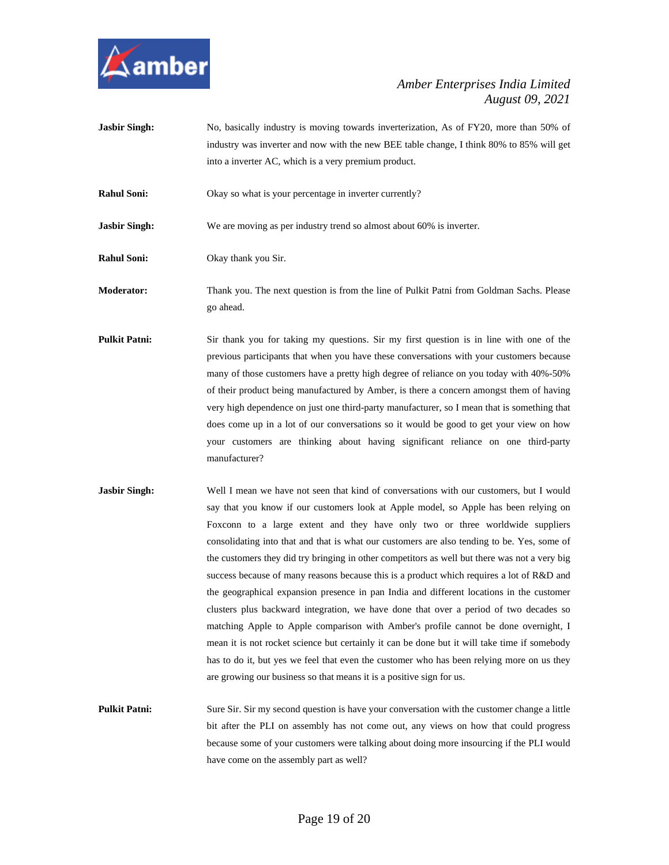

Jasbir Singh: No, basically industry is moving towards inverterization, As of FY20, more than 50% of industry was inverter and now with the new BEE table change, I think 80% to 85% will get into a inverter AC, which is a very premium product.

**Rahul Soni:** Okay so what is your percentage in inverter currently?

**Jasbir Singh:** We are moving as per industry trend so almost about 60% is inverter.

**Rahul Soni:** Okay thank you Sir.

**Moderator:** Thank you. The next question is from the line of Pulkit Patni from Goldman Sachs. Please go ahead.

- **Pulkit Patni:** Sir thank you for taking my questions. Sir my first question is in line with one of the previous participants that when you have these conversations with your customers because many of those customers have a pretty high degree of reliance on you today with 40%-50% of their product being manufactured by Amber, is there a concern amongst them of having very high dependence on just one third-party manufacturer, so I mean that is something that does come up in a lot of our conversations so it would be good to get your view on how your customers are thinking about having significant reliance on one third-party manufacturer?
- **Jasbir Singh:** Well I mean we have not seen that kind of conversations with our customers, but I would say that you know if our customers look at Apple model, so Apple has been relying on Foxconn to a large extent and they have only two or three worldwide suppliers consolidating into that and that is what our customers are also tending to be. Yes, some of the customers they did try bringing in other competitors as well but there was not a very big success because of many reasons because this is a product which requires a lot of R&D and the geographical expansion presence in pan India and different locations in the customer clusters plus backward integration, we have done that over a period of two decades so matching Apple to Apple comparison with Amber's profile cannot be done overnight, I mean it is not rocket science but certainly it can be done but it will take time if somebody has to do it, but yes we feel that even the customer who has been relying more on us they are growing our business so that means it is a positive sign for us.

**Pulkit Patni:** Sure Sir. Sir my second question is have your conversation with the customer change a little bit after the PLI on assembly has not come out, any views on how that could progress because some of your customers were talking about doing more insourcing if the PLI would have come on the assembly part as well?